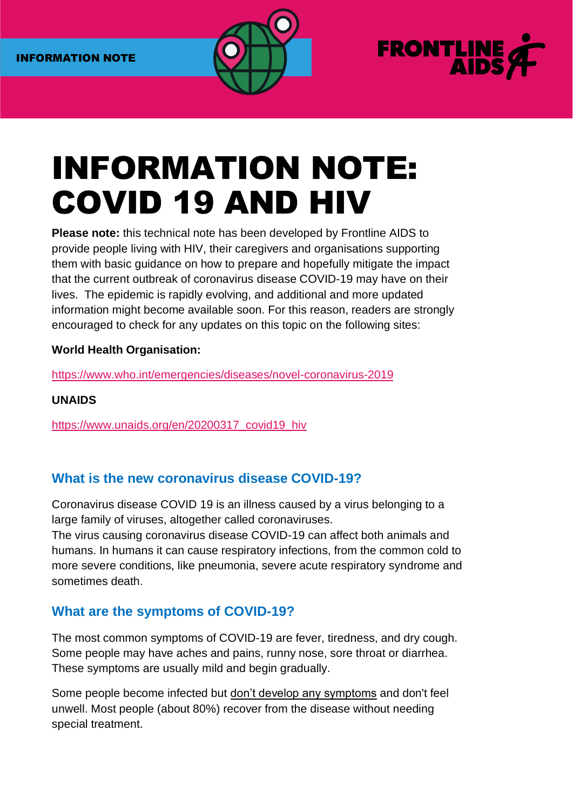x





# INFORMATION NOTE: COVID 19 AND HIV

**Please note:** this technical note has been developed by Frontline AIDS to provide people living with HIV, their caregivers and organisations supporting them with basic guidance on how to prepare and hopefully mitigate the impact that the current outbreak of coronavirus disease COVID-19 may have on their lives. The epidemic is rapidly evolving, and additional and more updated information might become available soon. For this reason, readers are strongly encouraged to check for any updates on this topic on the following sites:

#### **World Health Organisation:**

<https://www.who.int/emergencies/diseases/novel-coronavirus-2019>

**UNAIDS**

[https://www.unaids.org/en/20200317\\_covid19\\_hiv](https://www.unaids.org/en/20200317_covid19_hiv)

# **What is the new coronavirus disease COVID-19?**

Coronavirus disease COVID 19 is an illness caused by a virus belonging to a large family of viruses, altogether called coronaviruses.

The virus causing coronavirus disease COVID-19 can affect both animals and humans. In humans it can cause respiratory infections, from the common cold to more severe conditions, like pneumonia, severe acute respiratory syndrome and sometimes death.

# **What are the symptoms of COVID-19?**

The most common symptoms of COVID-19 are fever, tiredness, and dry cough. Some people may have aches and pains, runny nose, sore throat or diarrhea. These symptoms are usually mild and begin gradually.

Some people become infected but don't develop any symptoms and don't feel unwell. Most people (about 80%) recover from the disease without needing special treatment.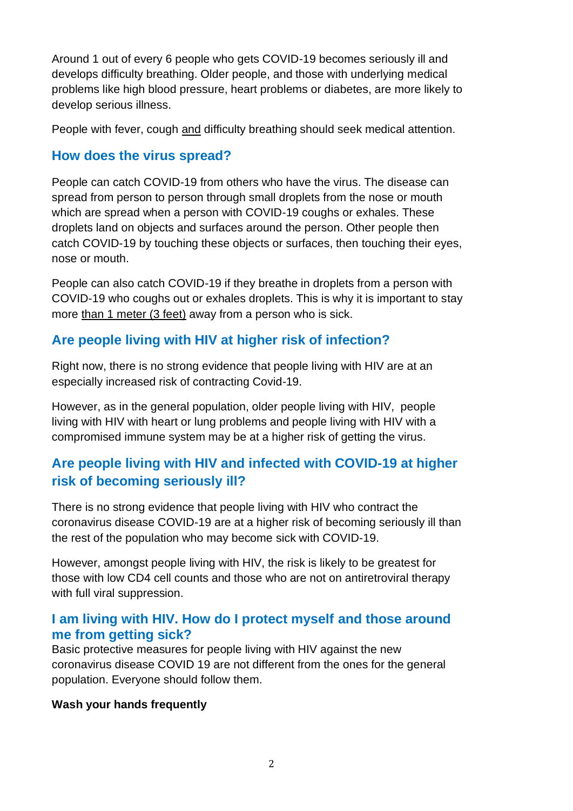Around 1 out of every 6 people who gets COVID-19 becomes seriously ill and develops difficulty breathing. Older people, and those with underlying medical problems like high blood pressure, heart problems or diabetes, are more likely to develop serious illness.

People with fever, cough and difficulty breathing should seek medical attention.

## **How does the virus spread?**

People can catch COVID-19 from others who have the virus. The disease can spread from person to person through small droplets from the nose or mouth which are spread when a person with COVID-19 coughs or exhales. These droplets land on objects and surfaces around the person. Other people then catch COVID-19 by touching these objects or surfaces, then touching their eyes, nose or mouth.

People can also catch COVID-19 if they breathe in droplets from a person with COVID-19 who coughs out or exhales droplets. This is why it is important to stay more than 1 meter (3 feet) away from a person who is sick.

# **Are people living with HIV at higher risk of infection?**

Right now, there is no strong evidence that people living with HIV are at an especially increased risk of contracting Covid-19.

However, as in the general population, older people living with HIV, people living with HIV with heart or lung problems and people living with HIV with a compromised immune system may be at a higher risk of getting the virus.

# **Are people living with HIV and infected with COVID-19 at higher risk of becoming seriously ill?**

There is no strong evidence that people living with HIV who contract the coronavirus disease COVID-19 are at a higher risk of becoming seriously ill than the rest of the population who may become sick with COVID-19.

However, amongst people living with HIV, the risk is likely to be greatest for those with low CD4 cell counts and those who are not on antiretroviral therapy with full viral suppression.

## **I am living with HIV. How do I protect myself and those around me from getting sick?**

Basic protective measures for people living with HIV against the new coronavirus disease COVID 19 are not different from the ones for the general population. Everyone should follow them.

#### **Wash your hands frequently**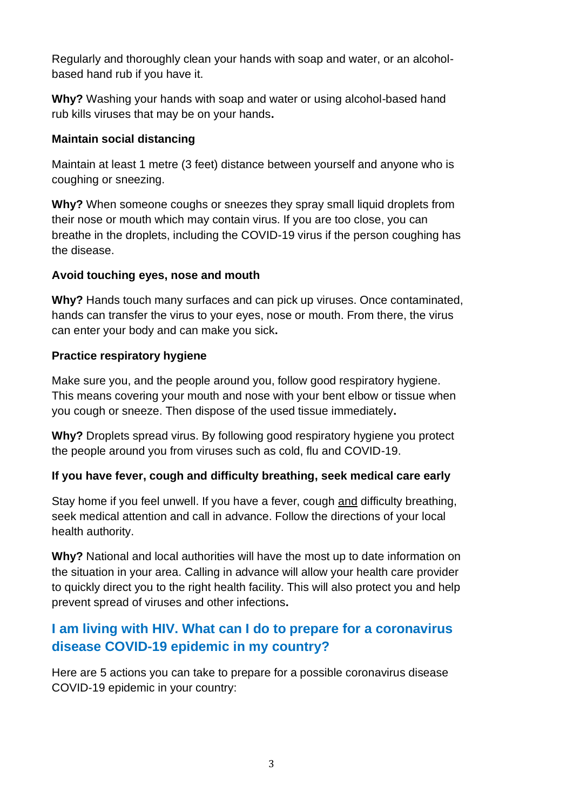Regularly and thoroughly clean your hands with soap and water, or an alcoholbased hand rub if you have it.

**Why?** Washing your hands with soap and water or using alcohol-based hand rub kills viruses that may be on your hands**.**

#### **Maintain social distancing**

Maintain at least 1 metre (3 feet) distance between yourself and anyone who is coughing or sneezing.

**Why?** When someone coughs or sneezes they spray small liquid droplets from their nose or mouth which may contain virus. If you are too close, you can breathe in the droplets, including the COVID-19 virus if the person coughing has the disease.

#### **Avoid touching eyes, nose and mouth**

**Why?** Hands touch many surfaces and can pick up viruses. Once contaminated, hands can transfer the virus to your eyes, nose or mouth. From there, the virus can enter your body and can make you sick**.**

## **Practice respiratory hygiene**

Make sure you, and the people around you, follow good respiratory hygiene. This means covering your mouth and nose with your bent elbow or tissue when you cough or sneeze. Then dispose of the used tissue immediately**.**

**Why?** Droplets spread virus. By following good respiratory hygiene you protect the people around you from viruses such as cold, flu and COVID-19.

## **If you have fever, cough and difficulty breathing, seek medical care early**

Stay home if you feel unwell. If you have a fever, cough and difficulty breathing, seek medical attention and call in advance. Follow the directions of your local health authority.

**Why?** National and local authorities will have the most up to date information on the situation in your area. Calling in advance will allow your health care provider to quickly direct you to the right health facility. This will also protect you and help prevent spread of viruses and other infections**.**

# **I am living with HIV. What can I do to prepare for a coronavirus disease COVID-19 epidemic in my country?**

Here are 5 actions you can take to prepare for a possible coronavirus disease COVID-19 epidemic in your country: